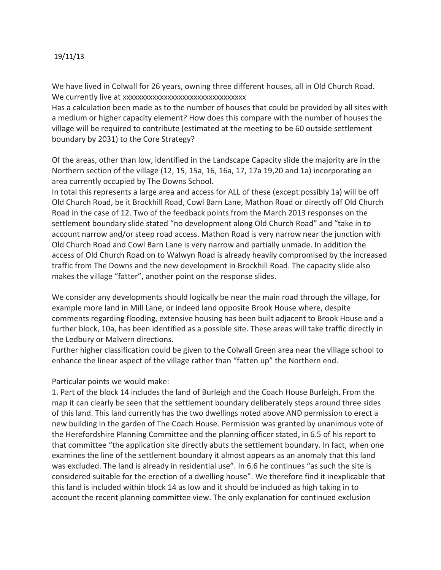## 19/11/13

We have lived in Colwall for 26 years, owning three different houses, all in Old Church Road. We currently live at xxxxxxxxxxxxxxxxxxxxxxxxxxxxxxxxx

Has a calculation been made as to the number of houses that could be provided by all sites with a medium or higher capacity element? How does this compare with the number of houses the village will be required to contribute (estimated at the meeting to be 60 outside settlement boundary by 2031) to the Core Strategy?

Of the areas, other than low, identified in the Landscape Capacity slide the majority are in the Northern section of the village (12, 15, 15a, 16, 16a, 17, 17a 19,20 and 1a) incorporating an area currently occupied by The Downs School.

In total this represents a large area and access for ALL of these (except possibly 1a) will be off Old Church Road, be it Brockhill Road, Cowl Barn Lane, Mathon Road or directly off Old Church Road in the case of 12. Two of the feedback points from the March 2013 responses on the settlement boundary slide stated "no development along Old Church Road" and "take in to account narrow and/or steep road access. Mathon Road is very narrow near the junction with Old Church Road and Cowl Barn Lane is very narrow and partially unmade. In addition the access of Old Church Road on to Walwyn Road is already heavily compromised by the increased traffic from The Downs and the new development in Brockhill Road. The capacity slide also makes the village "fatter", another point on the response slides.

We consider any developments should logically be near the main road through the village, for example more land in Mill Lane, or indeed land opposite Brook House where, despite comments regarding flooding, extensive housing has been built adjacent to Brook House and a further block, 10a, has been identified as a possible site. These areas will take traffic directly in the Ledbury or Malvern directions.

Further higher classification could be given to the Colwall Green area near the village school to enhance the linear aspect of the village rather than "fatten up" the Northern end.

## Particular points we would make:

1. Part of the block 14 includes the land of Burleigh and the Coach House Burleigh. From the map it can clearly be seen that the settlement boundary deliberately steps around three sides of this land. This land currently has the two dwellings noted above AND permission to erect a new building in the garden of The Coach House. Permission was granted by unanimous vote of the Herefordshire Planning Committee and the planning officer stated, in 6.5 of his report to that committee "the application site directly abuts the settlement boundary. In fact, when one examines the line of the settlement boundary it almost appears as an anomaly that this land was excluded. The land is already in residential use". In 6.6 he continues "as such the site is considered suitable for the erection of a dwelling house". We therefore find it inexplicable that this land is included within block 14 as low and it should be included as high taking in to account the recent planning committee view. The only explanation for continued exclusion